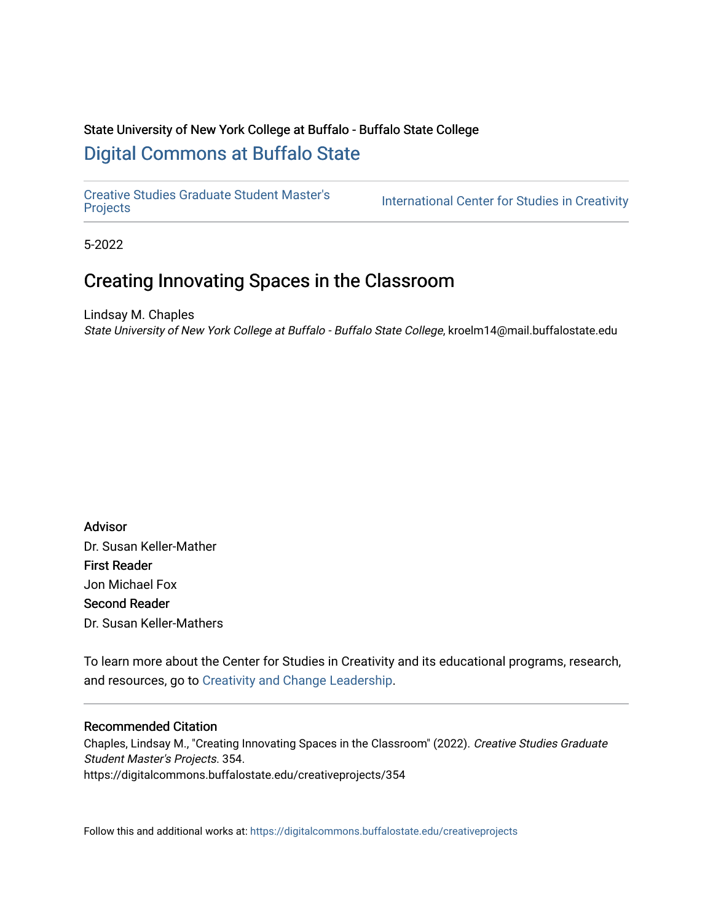# State University of New York College at Buffalo - Buffalo State College [Digital Commons at Buffalo State](https://digitalcommons.buffalostate.edu/)

[Creative Studies Graduate Student Master's](https://digitalcommons.buffalostate.edu/creativeprojects) 

International Center for Studies in Creativity

5-2022

# Creating Innovating Spaces in the Classroom

Lindsay M. Chaples State University of New York College at Buffalo - Buffalo State College, kroelm14@mail.buffalostate.edu

Advisor Dr. Susan Keller-Mather First Reader Jon Michael Fox Second Reader Dr. Susan Keller-Mathers

To learn more about the Center for Studies in Creativity and its educational programs, research, and resources, go to [Creativity and Change Leadership](Creativity%20and%20Change%20Leadership).

### Recommended Citation

Chaples, Lindsay M., "Creating Innovating Spaces in the Classroom" (2022). Creative Studies Graduate Student Master's Projects. 354. https://digitalcommons.buffalostate.edu/creativeprojects/354

Follow this and additional works at: [https://digitalcommons.buffalostate.edu/creativeprojects](https://digitalcommons.buffalostate.edu/creativeprojects?utm_source=digitalcommons.buffalostate.edu%2Fcreativeprojects%2F354&utm_medium=PDF&utm_campaign=PDFCoverPages)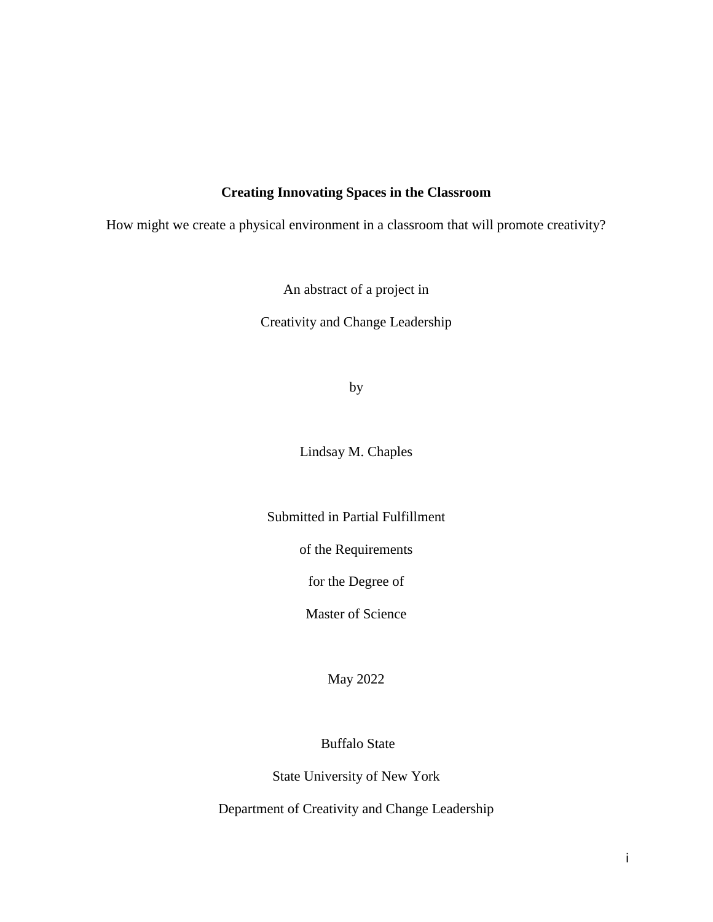# **Creating Innovating Spaces in the Classroom**

How might we create a physical environment in a classroom that will promote creativity?

An abstract of a project in

Creativity and Change Leadership

by

Lindsay M. Chaples

Submitted in Partial Fulfillment

of the Requirements

for the Degree of

Master of Science

May 2022

Buffalo State

State University of New York

Department of Creativity and Change Leadership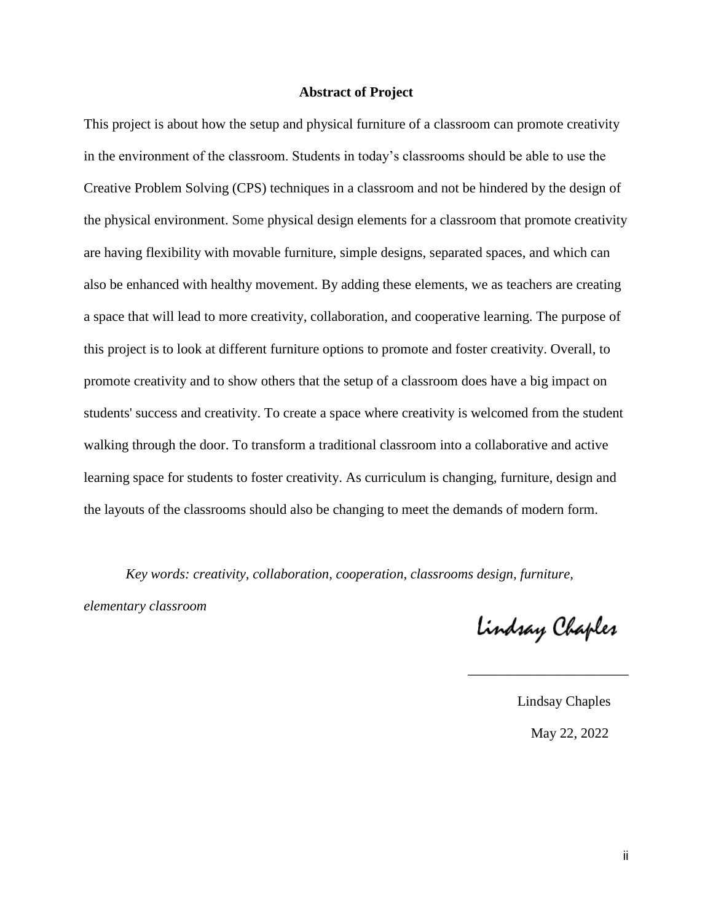### **Abstract of Project**

This project is about how the setup and physical furniture of a classroom can promote creativity in the environment of the classroom. Students in today's classrooms should be able to use the Creative Problem Solving (CPS) techniques in a classroom and not be hindered by the design of the physical environment. Some physical design elements for a classroom that promote creativity are having flexibility with movable furniture, simple designs, separated spaces, and which can also be enhanced with healthy movement. By adding these elements, we as teachers are creating a space that will lead to more creativity, collaboration, and cooperative learning. The purpose of this project is to look at different furniture options to promote and foster creativity. Overall, to promote creativity and to show others that the setup of a classroom does have a big impact on students' success and creativity. To create a space where creativity is welcomed from the student walking through the door. To transform a traditional classroom into a collaborative and active learning space for students to foster creativity. As curriculum is changing, furniture, design and the layouts of the classrooms should also be changing to meet the demands of modern form.

*Key words: creativity, collaboration, cooperation, classrooms design, furniture,* 

 $\overline{\phantom{a}}$  , and the contract of the contract of the contract of the contract of the contract of the contract of the contract of the contract of the contract of the contract of the contract of the contract of the contrac

*elementary classroom*

Lindsay Chaples

 Lindsay Chaples May 22, 2022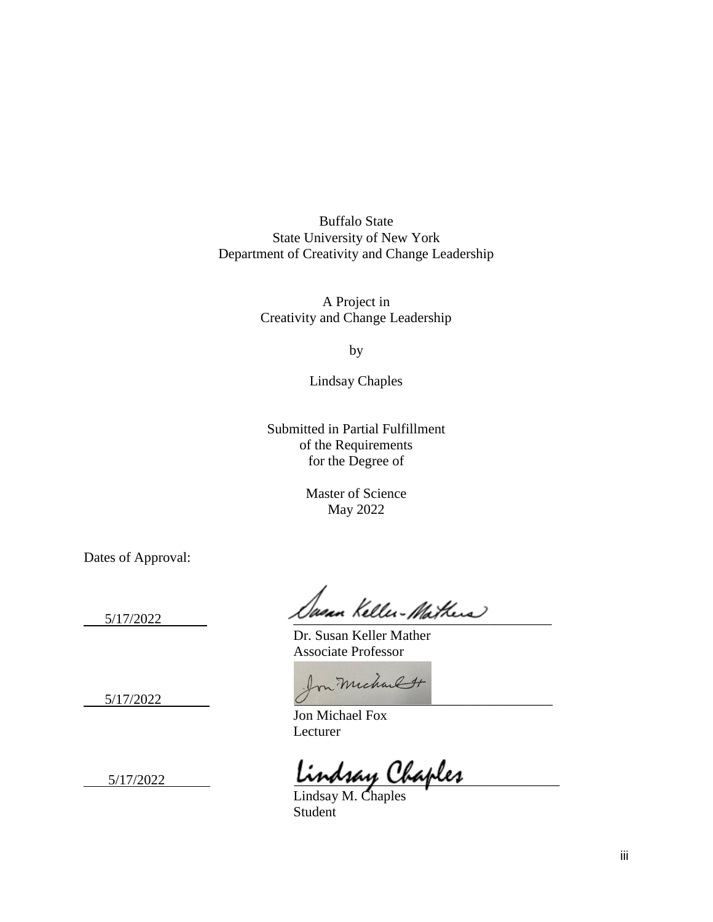Buffalo State State University of New York Department of Creativity and Change Leadership

> A Project in Creativity and Change Leadership

> > by

Lindsay Chaples

Submitted in Partial Fulfillment of the Requirements for the Degree of

> Master of Science May 2022

Dates of Approval:

5/17/2022 Ausun Keller-Mathers

Dr. Susan Keller Mather Associate Professor

5/17/2022 Jon Michael H

Jon Michael Fox Lecturer

5/17/2022 \_\_\_\_\_\_\_\_\_\_\_\_\_\_\_\_\_\_\_\_\_\_\_\_\_\_\_\_\_\_\_\_\_\_\_\_\_\_

Lindsay M. Chaples **Student**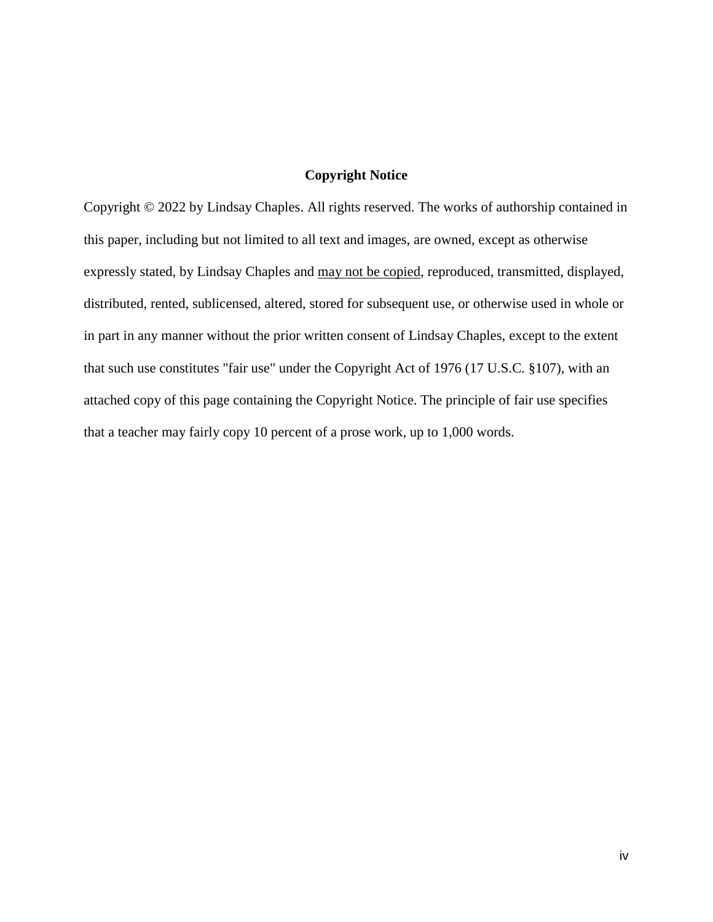## **Copyright Notice**

Copyright © 2022 by Lindsay Chaples. All rights reserved. The works of authorship contained in this paper, including but not limited to all text and images, are owned, except as otherwise expressly stated, by Lindsay Chaples and may not be copied, reproduced, transmitted, displayed, distributed, rented, sublicensed, altered, stored for subsequent use, or otherwise used in whole or in part in any manner without the prior written consent of Lindsay Chaples, except to the extent that such use constitutes "fair use" under the Copyright Act of 1976 (17 U.S.C. §107), with an attached copy of this page containing the Copyright Notice. The principle of fair use specifies that a teacher may fairly copy 10 percent of a prose work, up to 1,000 words.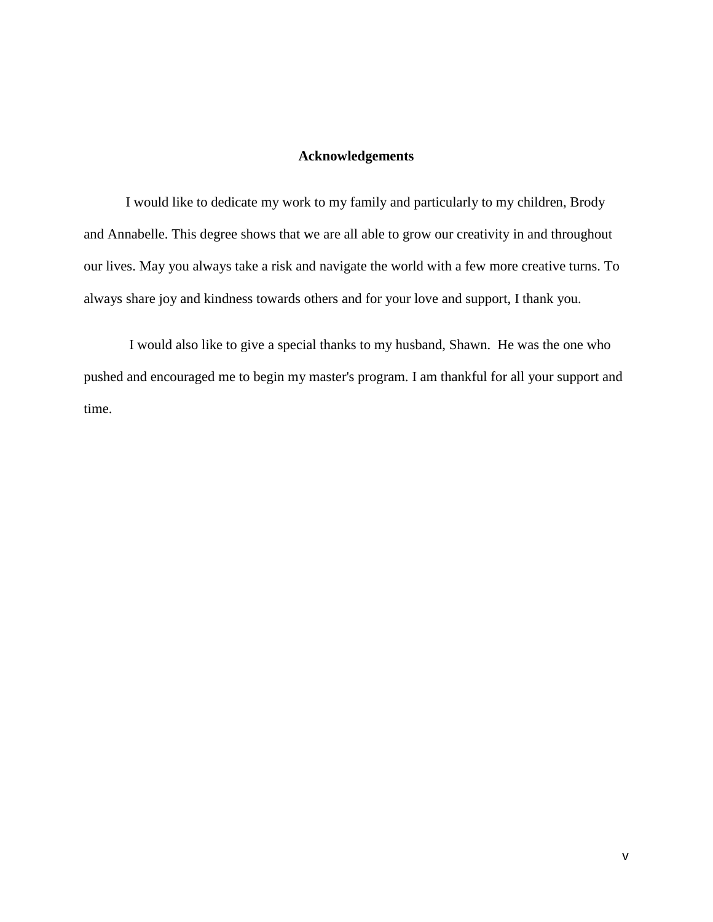## **Acknowledgements**

I would like to dedicate my work to my family and particularly to my children, Brody and Annabelle. This degree shows that we are all able to grow our creativity in and throughout our lives. May you always take a risk and navigate the world with a few more creative turns. To always share joy and kindness towards others and for your love and support, I thank you.

I would also like to give a special thanks to my husband, Shawn. He was the one who pushed and encouraged me to begin my master's program. I am thankful for all your support and time.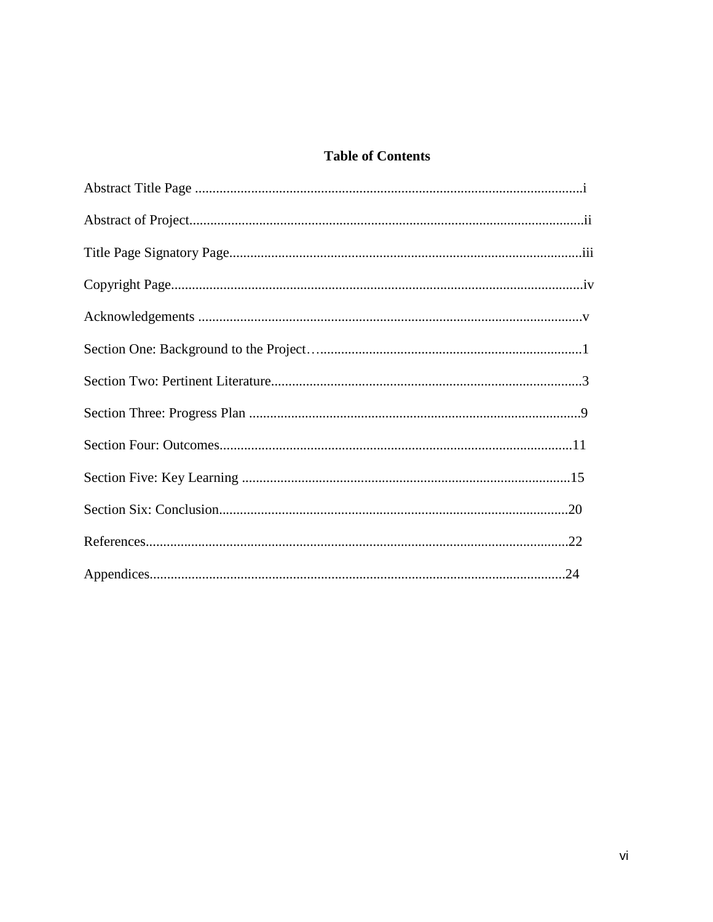# **Table of Contents**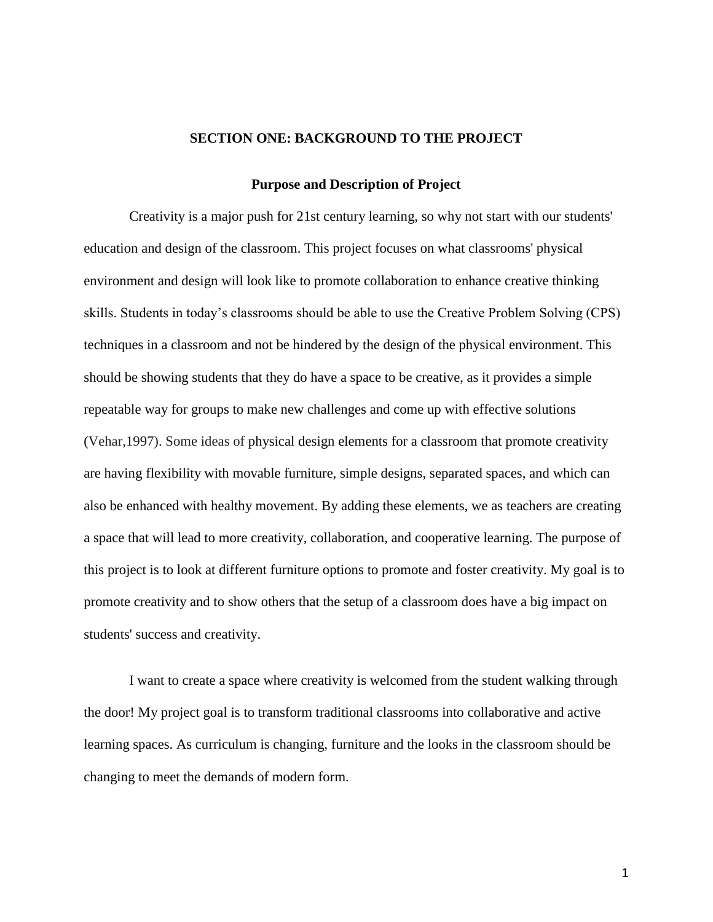#### **SECTION ONE: BACKGROUND TO THE PROJECT**

#### **Purpose and Description of Project**

Creativity is a major push for 21st century learning, so why not start with our students' education and design of the classroom. This project focuses on what classrooms' physical environment and design will look like to promote collaboration to enhance creative thinking skills. Students in today's classrooms should be able to use the Creative Problem Solving (CPS) techniques in a classroom and not be hindered by the design of the physical environment. This should be showing students that they do have a space to be creative, as it provides a simple repeatable way for groups to make new challenges and come up with effective solutions (Vehar,1997). Some ideas of physical design elements for a classroom that promote creativity are having flexibility with movable furniture, simple designs, separated spaces, and which can also be enhanced with healthy movement. By adding these elements, we as teachers are creating a space that will lead to more creativity, collaboration, and cooperative learning. The purpose of this project is to look at different furniture options to promote and foster creativity. My goal is to promote creativity and to show others that the setup of a classroom does have a big impact on students' success and creativity.

I want to create a space where creativity is welcomed from the student walking through the door! My project goal is to transform traditional classrooms into collaborative and active learning spaces. As curriculum is changing, furniture and the looks in the classroom should be changing to meet the demands of modern form.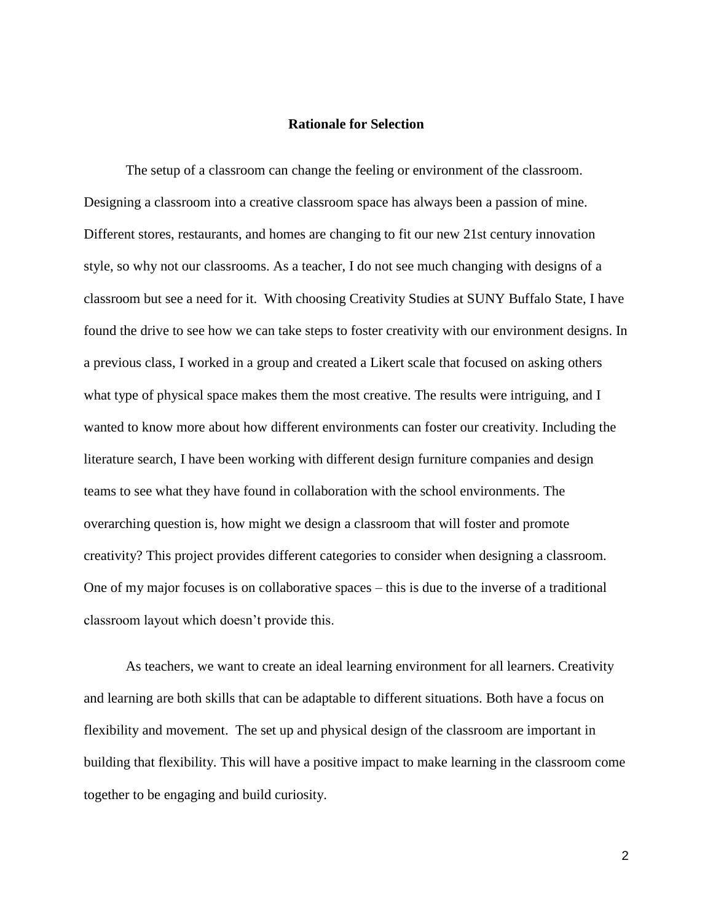### **Rationale for Selection**

The setup of a classroom can change the feeling or environment of the classroom. Designing a classroom into a creative classroom space has always been a passion of mine. Different stores, restaurants, and homes are changing to fit our new 21st century innovation style, so why not our classrooms. As a teacher, I do not see much changing with designs of a classroom but see a need for it. With choosing Creativity Studies at SUNY Buffalo State, I have found the drive to see how we can take steps to foster creativity with our environment designs. In a previous class, I worked in a group and created a Likert scale that focused on asking others what type of physical space makes them the most creative. The results were intriguing, and I wanted to know more about how different environments can foster our creativity. Including the literature search, I have been working with different design furniture companies and design teams to see what they have found in collaboration with the school environments. The overarching question is, how might we design a classroom that will foster and promote creativity? This project provides different categories to consider when designing a classroom. One of my major focuses is on collaborative spaces – this is due to the inverse of a traditional classroom layout which doesn't provide this.

As teachers, we want to create an ideal learning environment for all learners. Creativity and learning are both skills that can be adaptable to different situations. Both have a focus on flexibility and movement. The set up and physical design of the classroom are important in building that flexibility. This will have a positive impact to make learning in the classroom come together to be engaging and build curiosity.

2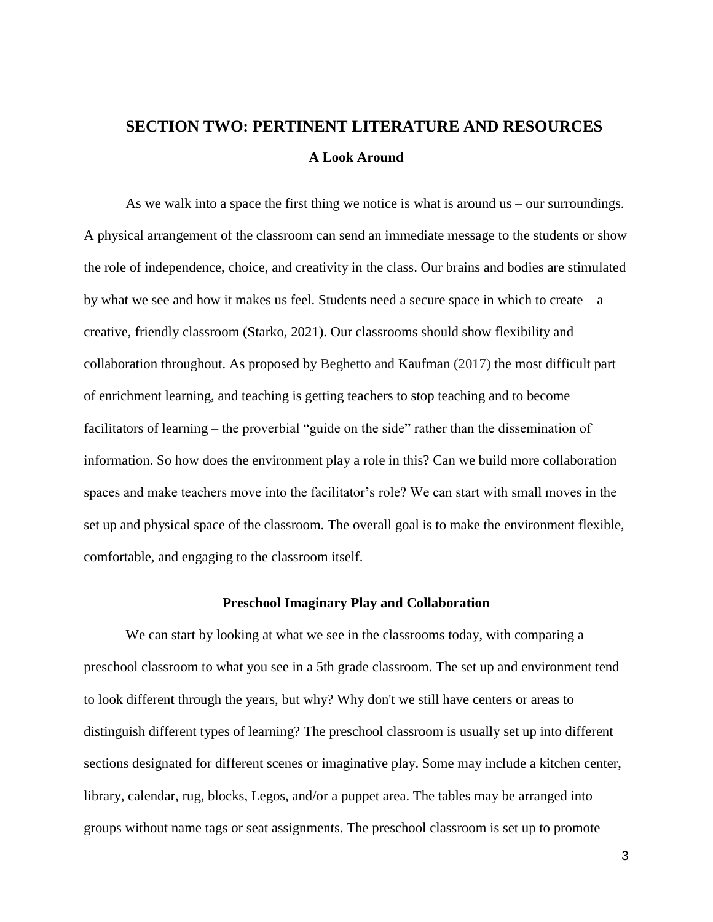# **SECTION TWO: PERTINENT LITERATURE AND RESOURCES A Look Around**

As we walk into a space the first thing we notice is what is around us – our surroundings. A physical arrangement of the classroom can send an immediate message to the students or show the role of independence, choice, and creativity in the class. Our brains and bodies are stimulated by what we see and how it makes us feel. Students need a secure space in which to create – a creative, friendly classroom (Starko, 2021). Our classrooms should show flexibility and collaboration throughout. As proposed by Beghetto and Kaufman (2017) the most difficult part of enrichment learning, and teaching is getting teachers to stop teaching and to become facilitators of learning – the proverbial "guide on the side" rather than the dissemination of information. So how does the environment play a role in this? Can we build more collaboration spaces and make teachers move into the facilitator's role? We can start with small moves in the set up and physical space of the classroom. The overall goal is to make the environment flexible, comfortable, and engaging to the classroom itself.

#### **Preschool Imaginary Play and Collaboration**

We can start by looking at what we see in the classrooms today, with comparing a preschool classroom to what you see in a 5th grade classroom. The set up and environment tend to look different through the years, but why? Why don't we still have centers or areas to distinguish different types of learning? The preschool classroom is usually set up into different sections designated for different scenes or imaginative play. Some may include a kitchen center, library, calendar, rug, blocks, Legos, and/or a puppet area. The tables may be arranged into groups without name tags or seat assignments. The preschool classroom is set up to promote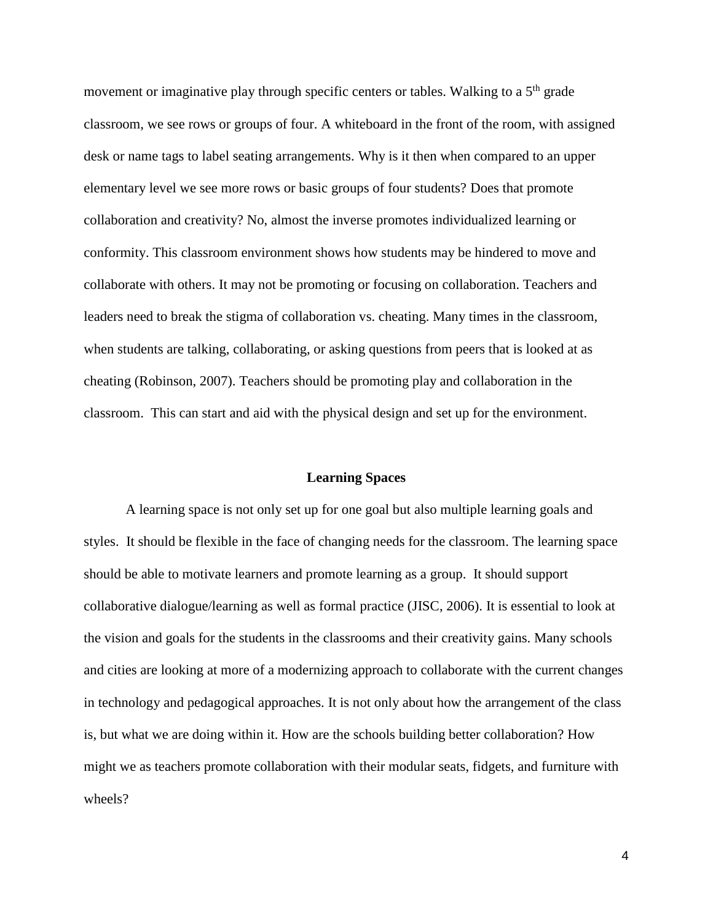movement or imaginative play through specific centers or tables. Walking to a  $5<sup>th</sup>$  grade classroom, we see rows or groups of four. A whiteboard in the front of the room, with assigned desk or name tags to label seating arrangements. Why is it then when compared to an upper elementary level we see more rows or basic groups of four students? Does that promote collaboration and creativity? No, almost the inverse promotes individualized learning or conformity. This classroom environment shows how students may be hindered to move and collaborate with others. It may not be promoting or focusing on collaboration. Teachers and leaders need to break the stigma of collaboration vs. cheating. Many times in the classroom, when students are talking, collaborating, or asking questions from peers that is looked at as cheating (Robinson, 2007). Teachers should be promoting play and collaboration in the classroom. This can start and aid with the physical design and set up for the environment.

### **Learning Spaces**

A learning space is not only set up for one goal but also multiple learning goals and styles. It should be flexible in the face of changing needs for the classroom. The learning space should be able to motivate learners and promote learning as a group. It should support collaborative dialogue/learning as well as formal practice (JISC, 2006). It is essential to look at the vision and goals for the students in the classrooms and their creativity gains. Many schools and cities are looking at more of a modernizing approach to collaborate with the current changes in technology and pedagogical approaches. It is not only about how the arrangement of the class is, but what we are doing within it. How are the schools building better collaboration? How might we as teachers promote collaboration with their modular seats, fidgets, and furniture with wheels?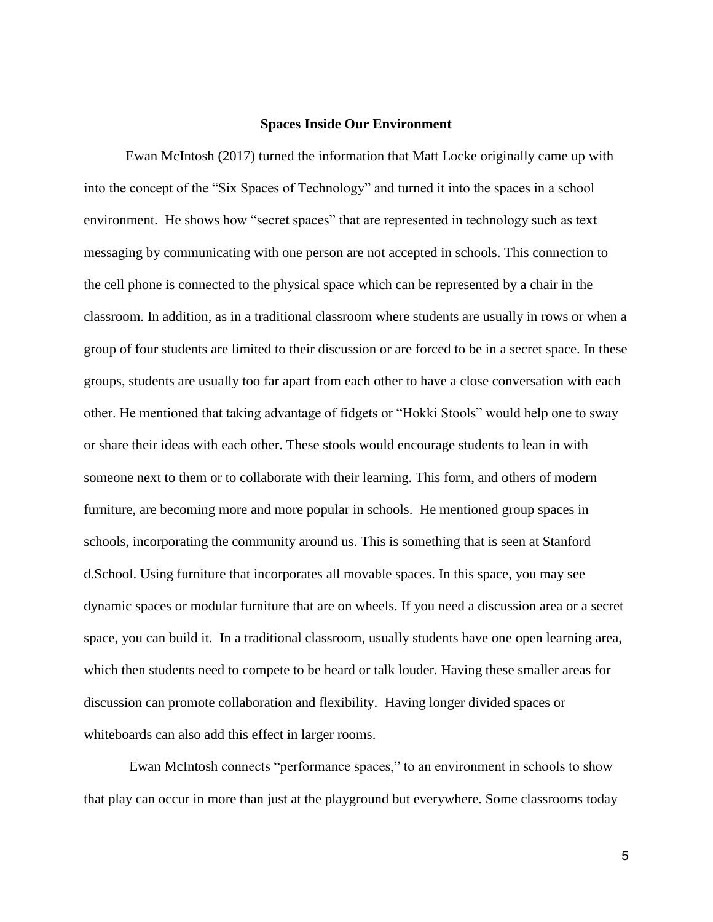#### **Spaces Inside Our Environment**

Ewan McIntosh (2017) turned the information that Matt Locke originally came up with into the concept of the "Six Spaces of Technology" and turned it into the spaces in a school environment. He shows how "secret spaces" that are represented in technology such as text messaging by communicating with one person are not accepted in schools. This connection to the cell phone is connected to the physical space which can be represented by a chair in the classroom. In addition, as in a traditional classroom where students are usually in rows or when a group of four students are limited to their discussion or are forced to be in a secret space. In these groups, students are usually too far apart from each other to have a close conversation with each other. He mentioned that taking advantage of fidgets or "Hokki Stools" would help one to sway or share their ideas with each other. These stools would encourage students to lean in with someone next to them or to collaborate with their learning. This form, and others of modern furniture, are becoming more and more popular in schools. He mentioned group spaces in schools, incorporating the community around us. This is something that is seen at Stanford d.School. Using furniture that incorporates all movable spaces. In this space, you may see dynamic spaces or modular furniture that are on wheels. If you need a discussion area or a secret space, you can build it. In a traditional classroom, usually students have one open learning area, which then students need to compete to be heard or talk louder. Having these smaller areas for discussion can promote collaboration and flexibility. Having longer divided spaces or whiteboards can also add this effect in larger rooms.

Ewan McIntosh connects "performance spaces," to an environment in schools to show that play can occur in more than just at the playground but everywhere. Some classrooms today

5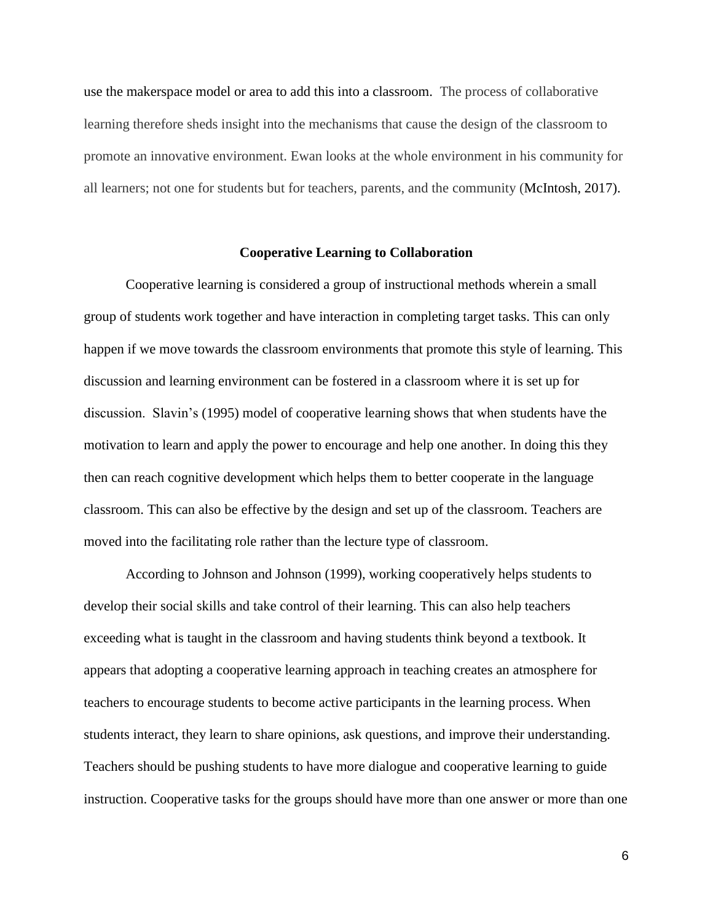use the makerspace model or area to add this into a classroom. The process of collaborative learning therefore sheds insight into the mechanisms that cause the design of the classroom to promote an innovative environment. Ewan looks at the whole environment in his community for all learners; not one for students but for teachers, parents, and the community (McIntosh, 2017).

### **Cooperative Learning to Collaboration**

Cooperative learning is considered a group of instructional methods wherein a small group of students work together and have interaction in completing target tasks. This can only happen if we move towards the classroom environments that promote this style of learning. This discussion and learning environment can be fostered in a classroom where it is set up for discussion. Slavin's (1995) model of cooperative learning shows that when students have the motivation to learn and apply the power to encourage and help one another. In doing this they then can reach cognitive development which helps them to better cooperate in the language classroom. This can also be effective by the design and set up of the classroom. Teachers are moved into the facilitating role rather than the lecture type of classroom.

According to Johnson and Johnson (1999), working cooperatively helps students to develop their social skills and take control of their learning. This can also help teachers exceeding what is taught in the classroom and having students think beyond a textbook. It appears that adopting a cooperative learning approach in teaching creates an atmosphere for teachers to encourage students to become active participants in the learning process. When students interact, they learn to share opinions, ask questions, and improve their understanding. Teachers should be pushing students to have more dialogue and cooperative learning to guide instruction. Cooperative tasks for the groups should have more than one answer or more than one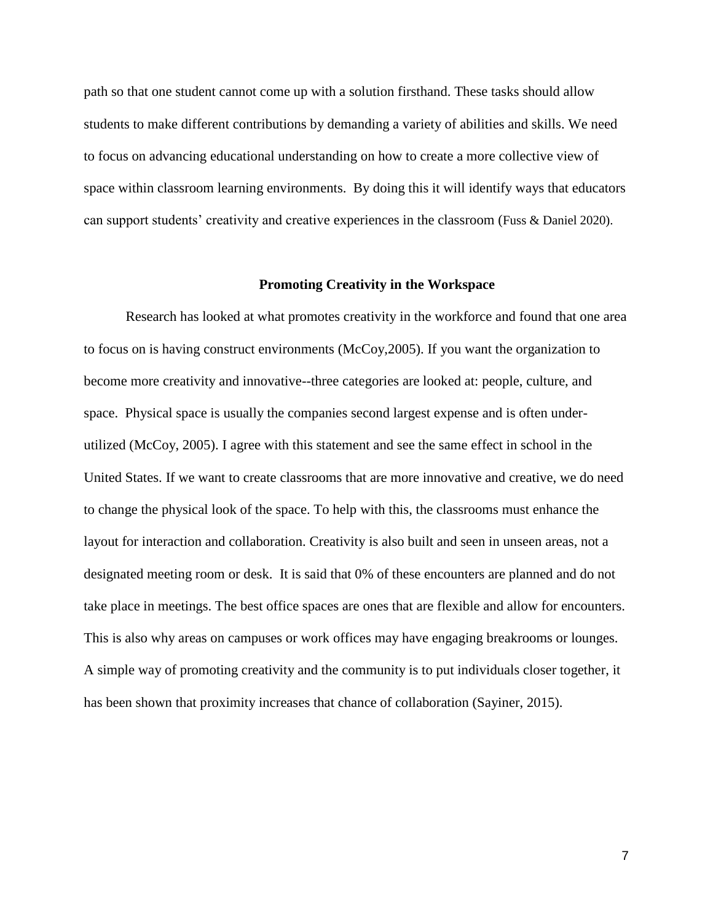path so that one student cannot come up with a solution firsthand. These tasks should allow students to make different contributions by demanding a variety of abilities and skills. We need to focus on advancing educational understanding on how to create a more collective view of space within classroom learning environments. By doing this it will identify ways that educators can support students' creativity and creative experiences in the classroom (Fuss & Daniel 2020).

#### **Promoting Creativity in the Workspace**

Research has looked at what promotes creativity in the workforce and found that one area to focus on is having construct environments (McCoy,2005). If you want the organization to become more creativity and innovative--three categories are looked at: people, culture, and space. Physical space is usually the companies second largest expense and is often underutilized (McCoy, 2005). I agree with this statement and see the same effect in school in the United States. If we want to create classrooms that are more innovative and creative, we do need to change the physical look of the space. To help with this, the classrooms must enhance the layout for interaction and collaboration. Creativity is also built and seen in unseen areas, not a designated meeting room or desk. It is said that 0% of these encounters are planned and do not take place in meetings. The best office spaces are ones that are flexible and allow for encounters. This is also why areas on campuses or work offices may have engaging breakrooms or lounges. A simple way of promoting creativity and the community is to put individuals closer together, it has been shown that proximity increases that chance of collaboration (Sayiner, 2015).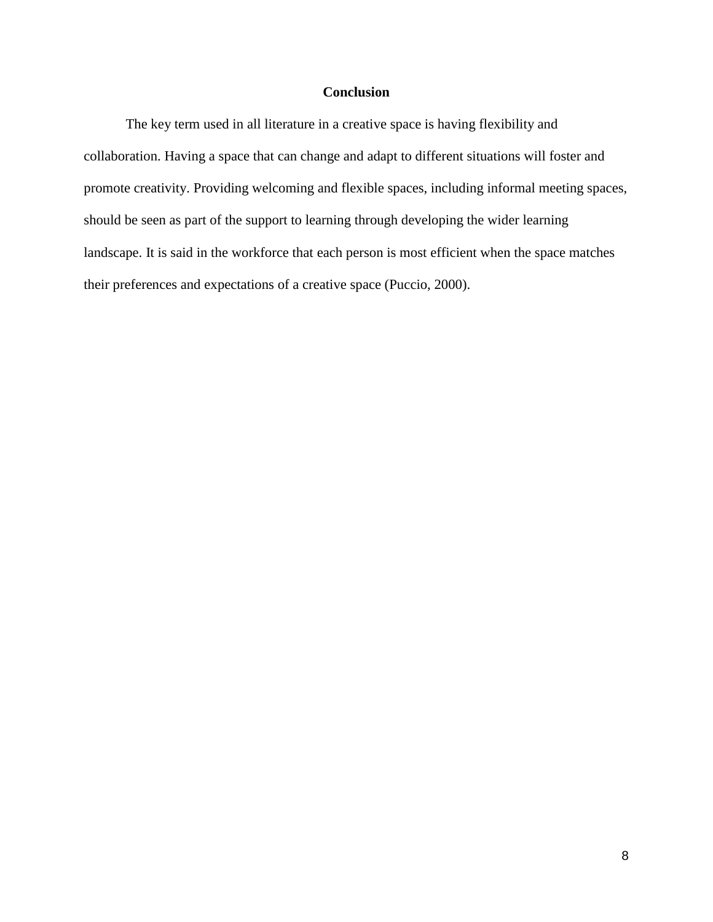### **Conclusion**

The key term used in all literature in a creative space is having flexibility and collaboration. Having a space that can change and adapt to different situations will foster and promote creativity. Providing welcoming and flexible spaces, including informal meeting spaces, should be seen as part of the support to learning through developing the wider learning landscape. It is said in the workforce that each person is most efficient when the space matches their preferences and expectations of a creative space (Puccio, 2000).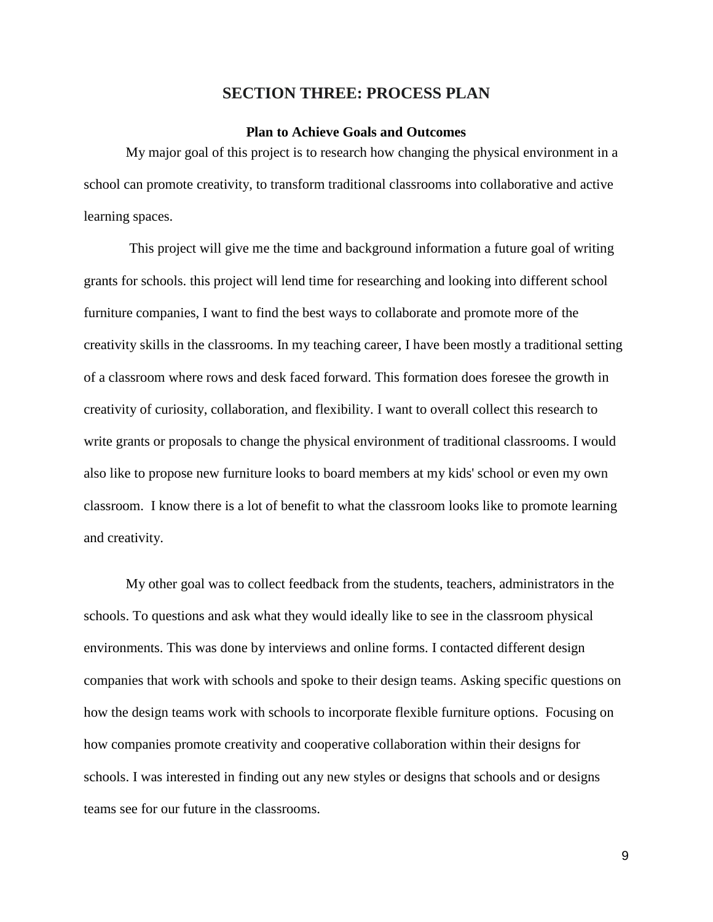### **SECTION THREE: PROCESS PLAN**

### **Plan to Achieve Goals and Outcomes**

My major goal of this project is to research how changing the physical environment in a school can promote creativity, to transform traditional classrooms into collaborative and active learning spaces.

This project will give me the time and background information a future goal of writing grants for schools. this project will lend time for researching and looking into different school furniture companies, I want to find the best ways to collaborate and promote more of the creativity skills in the classrooms. In my teaching career, I have been mostly a traditional setting of a classroom where rows and desk faced forward. This formation does foresee the growth in creativity of curiosity, collaboration, and flexibility. I want to overall collect this research to write grants or proposals to change the physical environment of traditional classrooms. I would also like to propose new furniture looks to board members at my kids' school or even my own classroom. I know there is a lot of benefit to what the classroom looks like to promote learning and creativity.

My other goal was to collect feedback from the students, teachers, administrators in the schools. To questions and ask what they would ideally like to see in the classroom physical environments. This was done by interviews and online forms. I contacted different design companies that work with schools and spoke to their design teams. Asking specific questions on how the design teams work with schools to incorporate flexible furniture options. Focusing on how companies promote creativity and cooperative collaboration within their designs for schools. I was interested in finding out any new styles or designs that schools and or designs teams see for our future in the classrooms.

9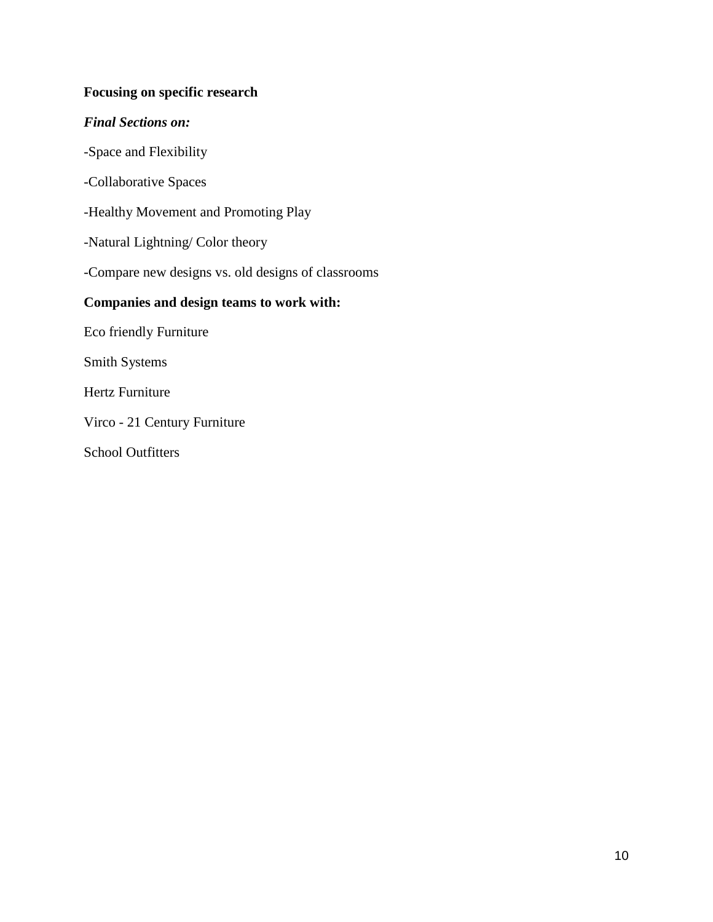# **Focusing on specific research**

### *Final Sections on:*

-Space and Flexibility

-Collaborative Spaces

-Healthy Movement and Promoting Play

-Natural Lightning/ Color theory

-Compare new designs vs. old designs of classrooms

# **Companies and design teams to work with:**

Eco friendly Furniture

Smith Systems

Hertz Furniture

Virco - 21 Century Furniture

School Outfitters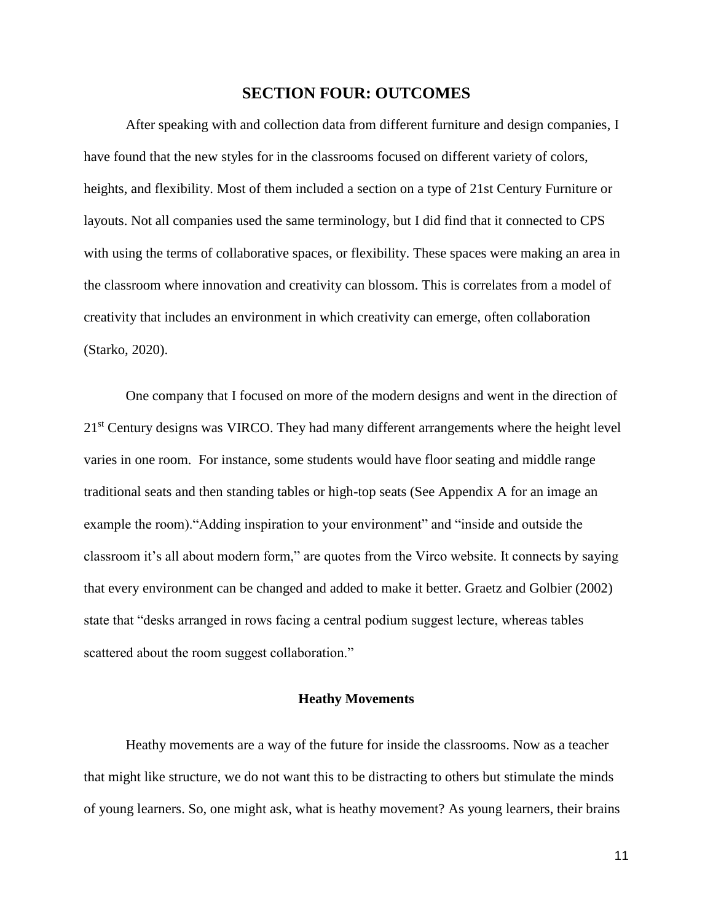### **SECTION FOUR: OUTCOMES**

After speaking with and collection data from different furniture and design companies, I have found that the new styles for in the classrooms focused on different variety of colors, heights, and flexibility. Most of them included a section on a type of 21st Century Furniture or layouts. Not all companies used the same terminology, but I did find that it connected to CPS with using the terms of collaborative spaces, or flexibility. These spaces were making an area in the classroom where innovation and creativity can blossom. This is correlates from a model of creativity that includes an environment in which creativity can emerge, often collaboration (Starko, 2020).

One company that I focused on more of the modern designs and went in the direction of 21<sup>st</sup> Century designs was VIRCO. They had many different arrangements where the height level varies in one room. For instance, some students would have floor seating and middle range traditional seats and then standing tables or high-top seats (See Appendix A for an image an example the room)."Adding inspiration to your environment" and "inside and outside the classroom it's all about modern form," are quotes from the Virco website. It connects by saying that every environment can be changed and added to make it better. Graetz and Golbier (2002) state that "desks arranged in rows facing a central podium suggest lecture, whereas tables scattered about the room suggest collaboration."

### **Heathy Movements**

Heathy movements are a way of the future for inside the classrooms. Now as a teacher that might like structure, we do not want this to be distracting to others but stimulate the minds of young learners. So, one might ask, what is heathy movement? As young learners, their brains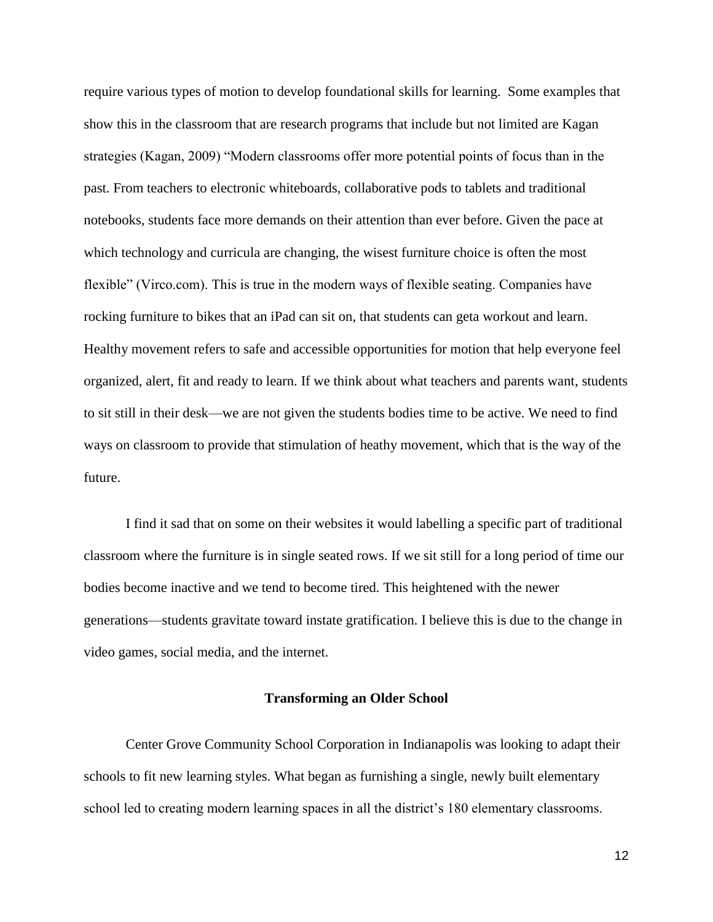require various types of motion to develop foundational skills for learning. Some examples that show this in the classroom that are research programs that include but not limited are Kagan strategies (Kagan, 2009) "Modern classrooms offer more potential points of focus than in the past. From teachers to electronic whiteboards, collaborative pods to tablets and traditional notebooks, students face more demands on their attention than ever before. Given the pace at which technology and curricula are changing, the wisest furniture choice is often the most flexible" (Virco.com). This is true in the modern ways of flexible seating. Companies have rocking furniture to bikes that an iPad can sit on, that students can geta workout and learn. Healthy movement refers to safe and accessible opportunities for motion that help everyone feel organized, alert, fit and ready to learn. If we think about what teachers and parents want, students to sit still in their desk—we are not given the students bodies time to be active. We need to find ways on classroom to provide that stimulation of heathy movement, which that is the way of the future.

I find it sad that on some on their websites it would labelling a specific part of traditional classroom where the furniture is in single seated rows. If we sit still for a long period of time our bodies become inactive and we tend to become tired. This heightened with the newer generations—students gravitate toward instate gratification. I believe this is due to the change in video games, social media, and the internet.

#### **Transforming an Older School**

Center Grove Community School Corporation in Indianapolis was looking to adapt their schools to fit new learning styles. What began as furnishing a single, newly built elementary school led to creating modern learning spaces in all the district's 180 elementary classrooms.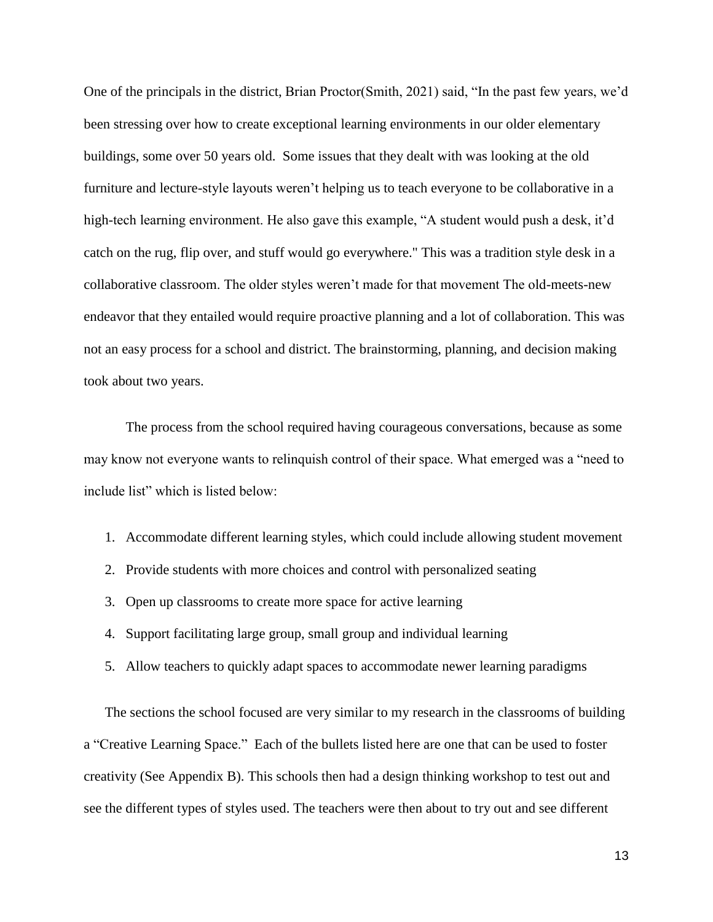One of the principals in the district, Brian Proctor(Smith, 2021) said, "In the past few years, we'd been stressing over how to create exceptional learning environments in our older elementary buildings, some over 50 years old. Some issues that they dealt with was looking at the old furniture and lecture-style layouts weren't helping us to teach everyone to be collaborative in a high-tech learning environment. He also gave this example, "A student would push a desk, it'd catch on the rug, flip over, and stuff would go everywhere." This was a tradition style desk in a collaborative classroom. The older styles weren't made for that movement The old-meets-new endeavor that they entailed would require proactive planning and a lot of collaboration. This was not an easy process for a school and district. The brainstorming, planning, and decision making took about two years.

The process from the school required having courageous conversations, because as some may know not everyone wants to relinquish control of their space. What emerged was a "need to include list" which is listed below:

- 1. Accommodate different learning styles, which could include allowing student movement
- 2. Provide students with more choices and control with personalized seating
- 3. Open up classrooms to create more space for active learning
- 4. Support facilitating large group, small group and individual learning
- 5. Allow teachers to quickly adapt spaces to accommodate newer learning paradigms

The sections the school focused are very similar to my research in the classrooms of building a "Creative Learning Space." Each of the bullets listed here are one that can be used to foster creativity (See Appendix B). This schools then had a design thinking workshop to test out and see the different types of styles used. The teachers were then about to try out and see different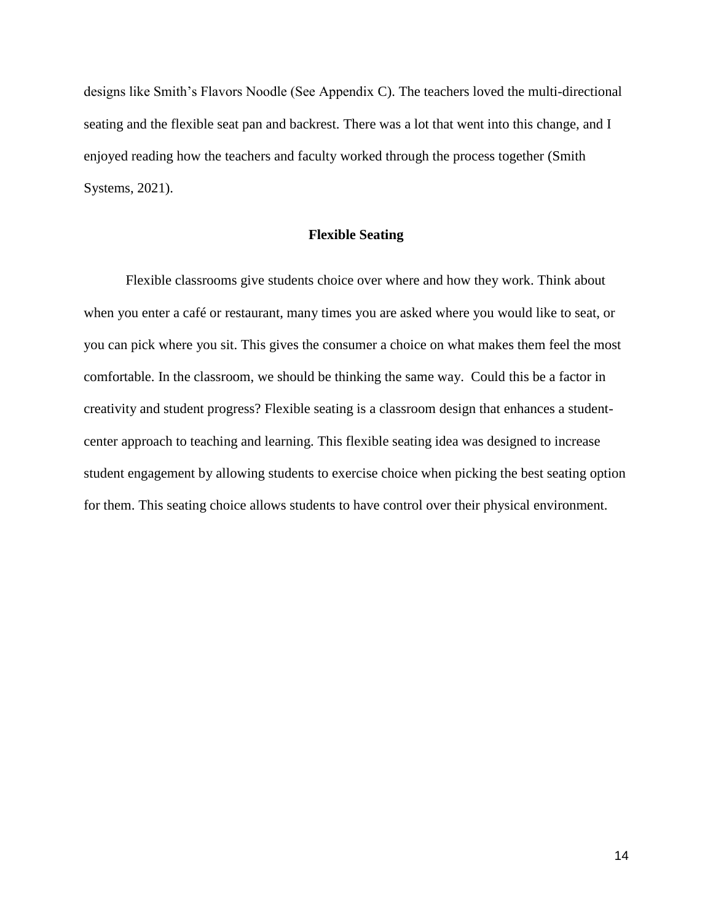designs like Smith's Flavors Noodle (See Appendix C). The teachers loved the multi-directional seating and the flexible seat pan and backrest. There was a lot that went into this change, and I enjoyed reading how the teachers and faculty worked through the process together (Smith Systems, 2021).

### **Flexible Seating**

Flexible classrooms give students choice over where and how they work. Think about when you enter a café or restaurant, many times you are asked where you would like to seat, or you can pick where you sit. This gives the consumer a choice on what makes them feel the most comfortable. In the classroom, we should be thinking the same way. Could this be a factor in creativity and student progress? Flexible seating is a classroom design that enhances a studentcenter approach to teaching and learning. This flexible seating idea was designed to increase student engagement by allowing students to exercise choice when picking the best seating option for them. This seating choice allows students to have control over their physical environment.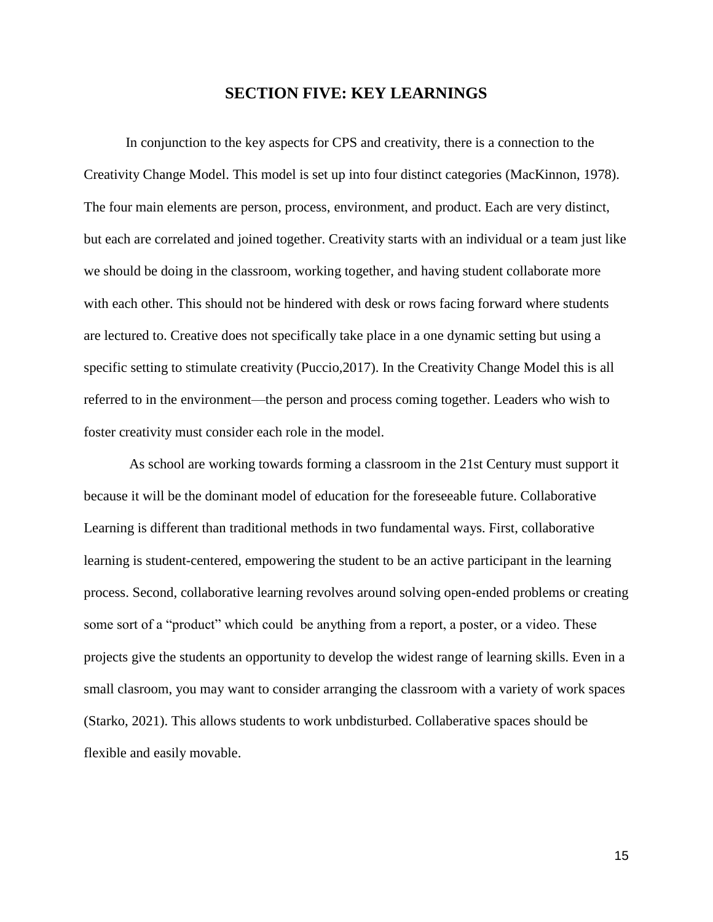## **SECTION FIVE: KEY LEARNINGS**

In conjunction to the key aspects for CPS and creativity, there is a connection to the Creativity Change Model. This model is set up into four distinct categories (MacKinnon, 1978). The four main elements are person, process, environment, and product. Each are very distinct, but each are correlated and joined together. Creativity starts with an individual or a team just like we should be doing in the classroom, working together, and having student collaborate more with each other. This should not be hindered with desk or rows facing forward where students are lectured to. Creative does not specifically take place in a one dynamic setting but using a specific setting to stimulate creativity (Puccio,2017). In the Creativity Change Model this is all referred to in the environment—the person and process coming together. Leaders who wish to foster creativity must consider each role in the model.

 As school are working towards forming a classroom in the 21st Century must support it because it will be the dominant model of education for the foreseeable future. Collaborative Learning is different than traditional methods in two fundamental ways. First, collaborative learning is student-centered, empowering the student to be an active participant in the learning process. Second, collaborative learning revolves around solving open-ended problems or creating some sort of a "product" which could be anything from a report, a poster, or a video. These projects give the students an opportunity to develop the widest range of learning skills. Even in a small clasroom, you may want to consider arranging the classroom with a variety of work spaces (Starko, 2021). This allows students to work unbdisturbed. Collaberative spaces should be flexible and easily movable.

15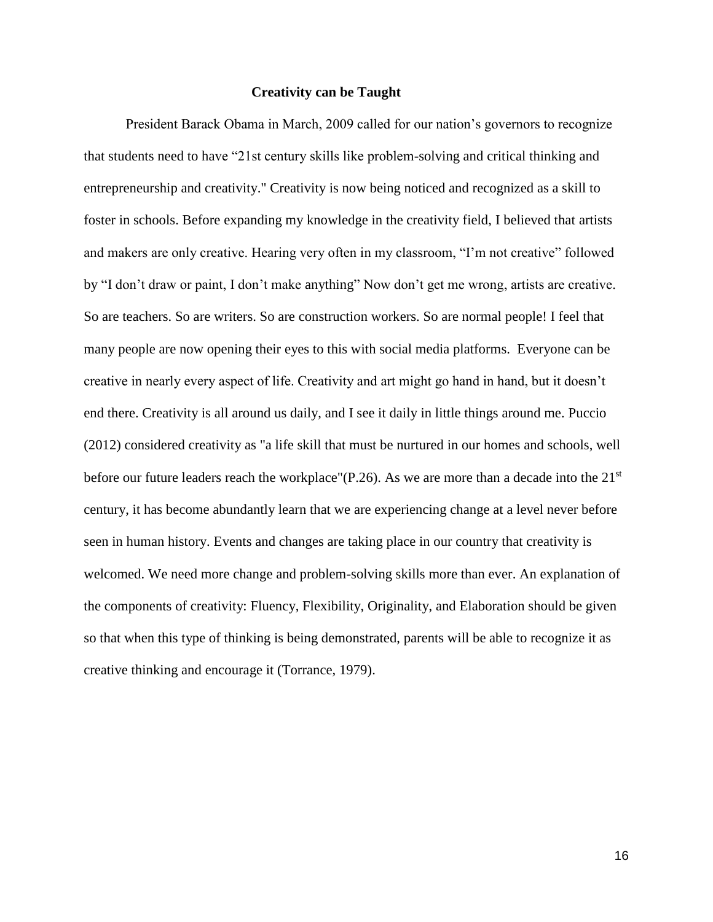### **Creativity can be Taught**

President Barack Obama in March, 2009 called for our nation's governors to recognize that students need to have "21st century skills like problem-solving and critical thinking and entrepreneurship and creativity." Creativity is now being noticed and recognized as a skill to foster in schools. Before expanding my knowledge in the creativity field, I believed that artists and makers are only creative. Hearing very often in my classroom, "I'm not creative" followed by "I don't draw or paint, I don't make anything" Now don't get me wrong, artists are creative. So are teachers. So are writers. So are construction workers. So are normal people! I feel that many people are now opening their eyes to this with social media platforms. Everyone can be creative in nearly every aspect of life. Creativity and art might go hand in hand, but it doesn't end there. Creativity is all around us daily, and I see it daily in little things around me. Puccio (2012) considered creativity as "a life skill that must be nurtured in our homes and schools, well before our future leaders reach the workplace"(P.26). As we are more than a decade into the 21<sup>st</sup> century, it has become abundantly learn that we are experiencing change at a level never before seen in human history. Events and changes are taking place in our country that creativity is welcomed. We need more change and problem-solving skills more than ever. An explanation of the components of creativity: Fluency, Flexibility, Originality, and Elaboration should be given so that when this type of thinking is being demonstrated, parents will be able to recognize it as creative thinking and encourage it (Torrance, 1979).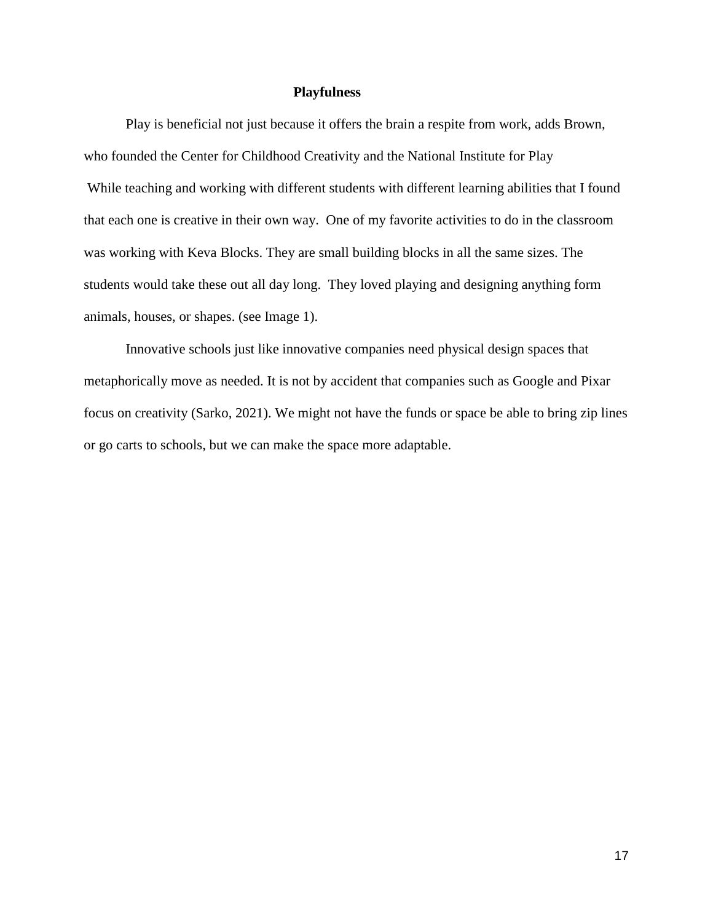### **Playfulness**

Play is beneficial not just because it offers the brain a respite from work, adds Brown, who founded the Center for Childhood Creativity and the National Institute for Play While teaching and working with different students with different learning abilities that I found that each one is creative in their own way. One of my favorite activities to do in the classroom was working with Keva Blocks. They are small building blocks in all the same sizes. The students would take these out all day long. They loved playing and designing anything form animals, houses, or shapes. (see Image 1).

Innovative schools just like innovative companies need physical design spaces that metaphorically move as needed. It is not by accident that companies such as Google and Pixar focus on creativity (Sarko, 2021). We might not have the funds or space be able to bring zip lines or go carts to schools, but we can make the space more adaptable.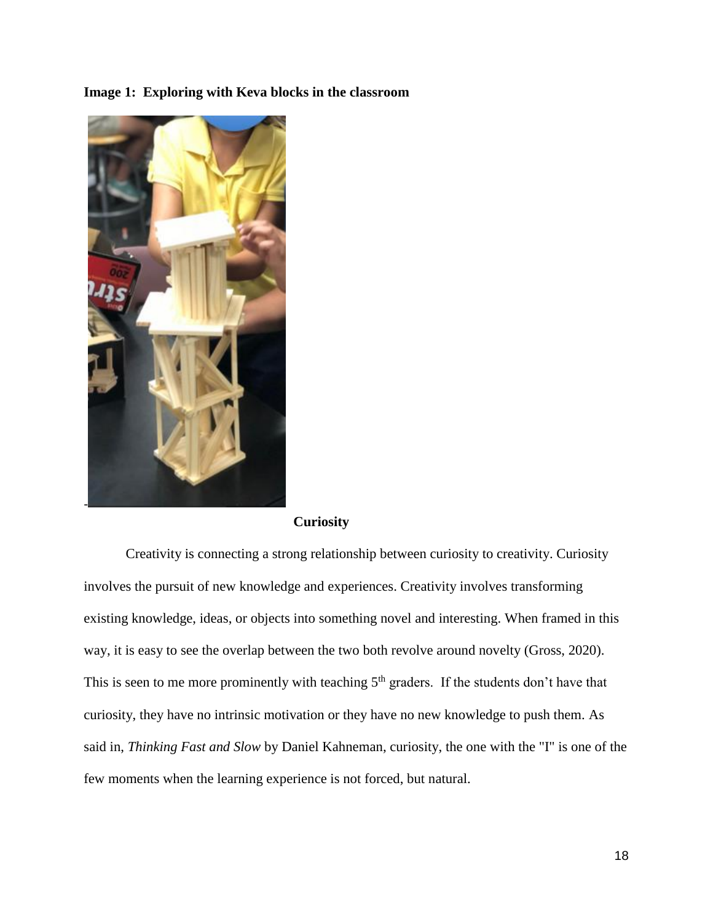**Image 1: Exploring with Keva blocks in the classroom** 



### **Curiosity**

Creativity is connecting a strong relationship between curiosity to creativity. Curiosity involves the pursuit of new knowledge and experiences. Creativity involves transforming existing knowledge, ideas, or objects into something novel and interesting. When framed in this way, it is easy to see the overlap between the two both revolve around novelty (Gross, 2020). This is seen to me more prominently with teaching  $5<sup>th</sup>$  graders. If the students don't have that curiosity, they have no intrinsic motivation or they have no new knowledge to push them. As said in, *Thinking Fast and Slow* by Daniel Kahneman, curiosity, the one with the "I" is one of the few moments when the learning experience is not forced, but natural.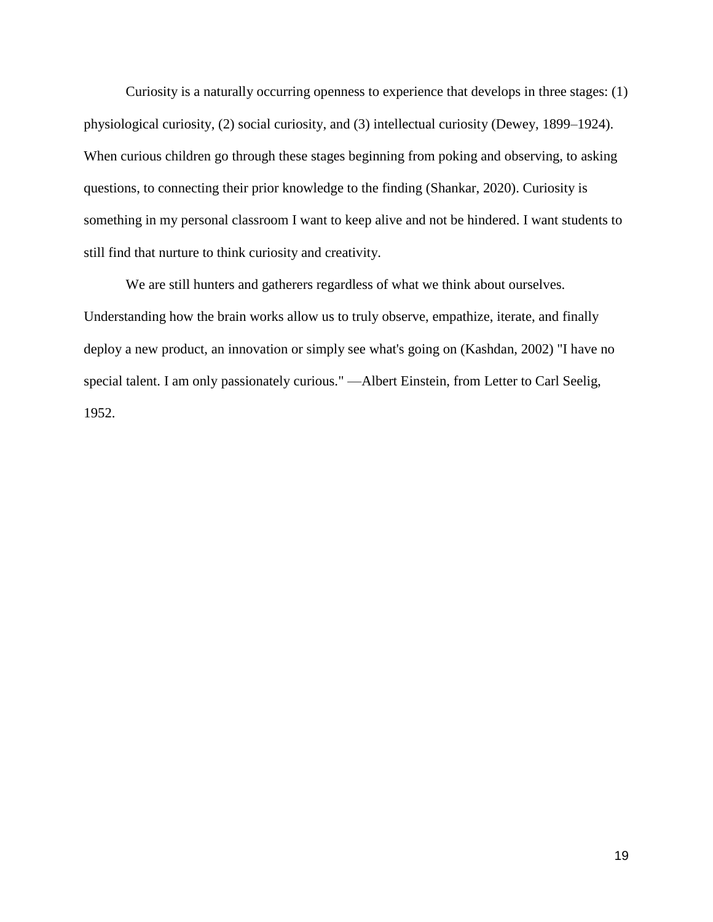Curiosity is a naturally occurring openness to experience that develops in three stages: (1) physiological curiosity, (2) social curiosity, and (3) intellectual curiosity (Dewey, 1899–1924). When curious children go through these stages beginning from poking and observing, to asking questions, to connecting their prior knowledge to the finding (Shankar, 2020). Curiosity is something in my personal classroom I want to keep alive and not be hindered. I want students to still find that nurture to think curiosity and creativity.

We are still hunters and gatherers regardless of what we think about ourselves. Understanding how the brain works allow us to truly observe, empathize, iterate, and finally deploy a new product, an innovation or simply see what's going on (Kashdan, 2002) "I have no special talent. I am only passionately curious." —Albert Einstein, from Letter to Carl Seelig, 1952.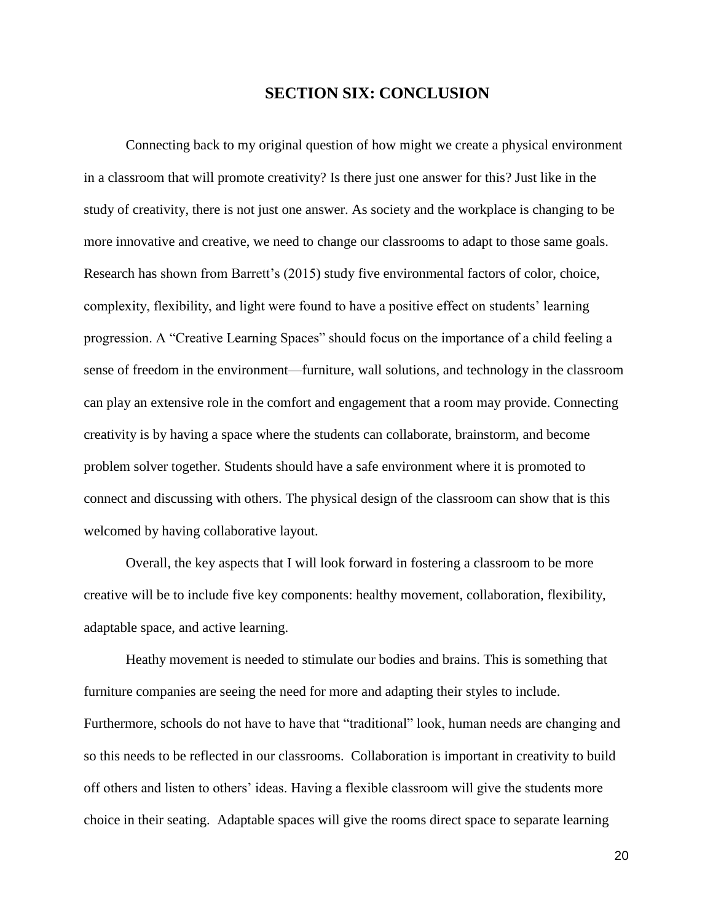## **SECTION SIX: CONCLUSION**

Connecting back to my original question of how might we create a physical environment in a classroom that will promote creativity? Is there just one answer for this? Just like in the study of creativity, there is not just one answer. As society and the workplace is changing to be more innovative and creative, we need to change our classrooms to adapt to those same goals. Research has shown from Barrett's (2015) study five environmental factors of color, choice, complexity, flexibility, and light were found to have a positive effect on students' learning progression. A "Creative Learning Spaces" should focus on the importance of a child feeling a sense of freedom in the environment—furniture, wall solutions, and technology in the classroom can play an extensive role in the comfort and engagement that a room may provide. Connecting creativity is by having a space where the students can collaborate, brainstorm, and become problem solver together. Students should have a safe environment where it is promoted to connect and discussing with others. The physical design of the classroom can show that is this welcomed by having collaborative layout.

Overall, the key aspects that I will look forward in fostering a classroom to be more creative will be to include five key components: healthy movement, collaboration, flexibility, adaptable space, and active learning.

Heathy movement is needed to stimulate our bodies and brains. This is something that furniture companies are seeing the need for more and adapting their styles to include. Furthermore, schools do not have to have that "traditional" look, human needs are changing and so this needs to be reflected in our classrooms. Collaboration is important in creativity to build off others and listen to others' ideas. Having a flexible classroom will give the students more choice in their seating. Adaptable spaces will give the rooms direct space to separate learning

20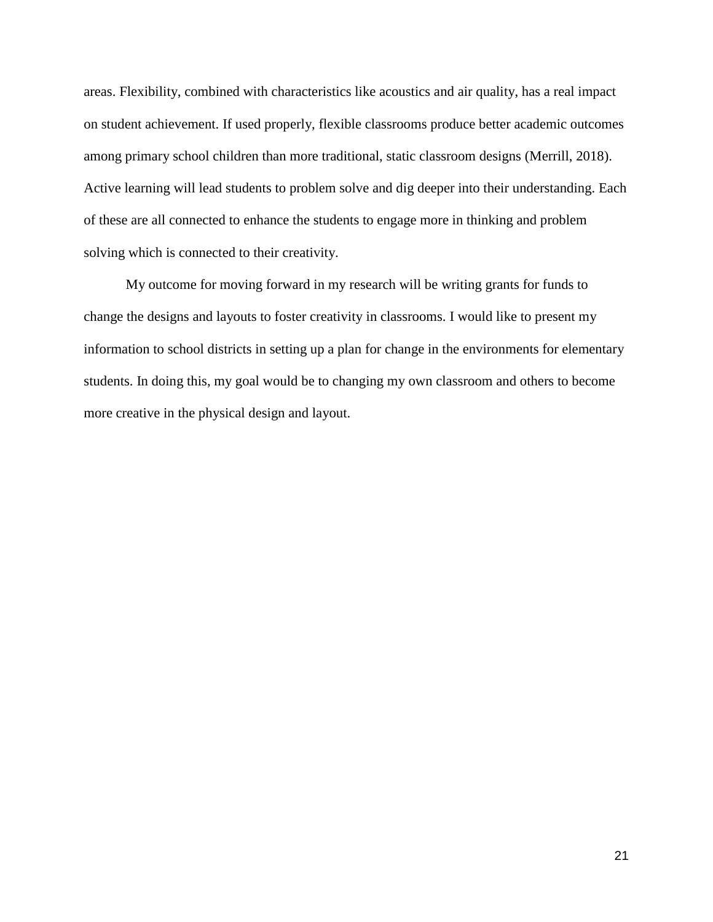areas. Flexibility, combined with characteristics like acoustics and air quality, has a real impact on student achievement. If used properly, flexible classrooms produce better academic outcomes among primary school children than more traditional, static classroom designs (Merrill, 2018). Active learning will lead students to problem solve and dig deeper into their understanding. Each of these are all connected to enhance the students to engage more in thinking and problem solving which is connected to their creativity.

My outcome for moving forward in my research will be writing grants for funds to change the designs and layouts to foster creativity in classrooms. I would like to present my information to school districts in setting up a plan for change in the environments for elementary students. In doing this, my goal would be to changing my own classroom and others to become more creative in the physical design and layout.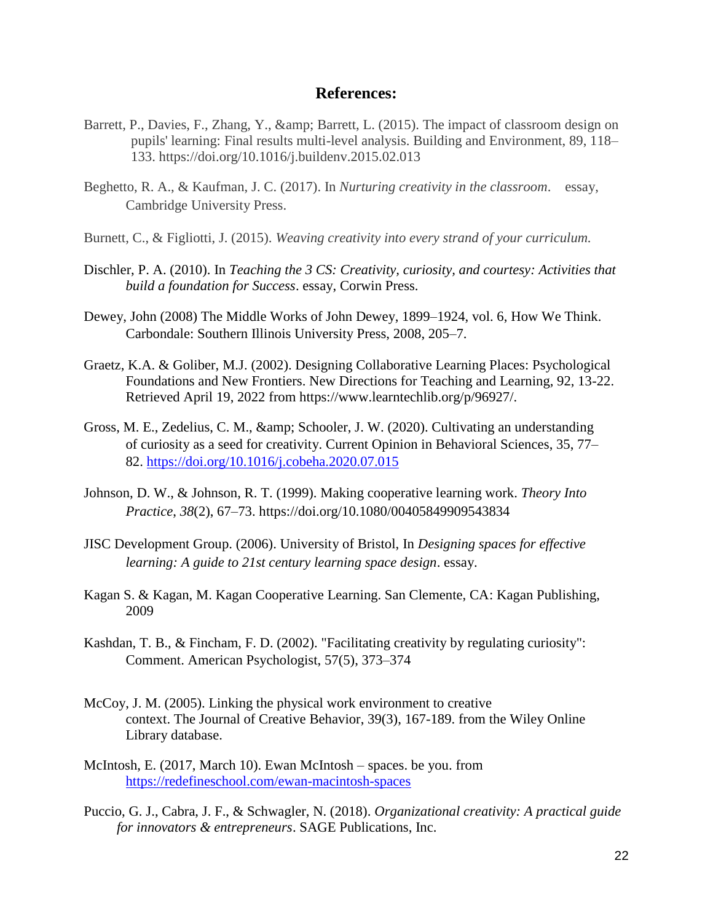### **References:**

- Barrett, P., Davies, F., Zhang, Y., & amp; Barrett, L. (2015). The impact of classroom design on pupils' learning: Final results multi-level analysis. Building and Environment, 89, 118– 133. https://doi.org/10.1016/j.buildenv.2015.02.013
- Beghetto, R. A., & Kaufman, J. C. (2017). In *Nurturing creativity in the classroom*. essay, Cambridge University Press.
- Burnett, C., & Figliotti, J. (2015). *Weaving creativity into every strand of your curriculum.*
- Dischler, P. A. (2010). In *Teaching the 3 CS: Creativity, curiosity, and courtesy: Activities that build a foundation for Success*. essay, Corwin Press.
- Dewey, John (2008) The Middle Works of John Dewey, 1899–1924, vol. 6, How We Think. Carbondale: Southern Illinois University Press, 2008, 205–7.
- Graetz, K.A. & Goliber, M.J. (2002). Designing Collaborative Learning Places: Psychological Foundations and New Frontiers. New Directions for Teaching and Learning, 92, 13-22. Retrieved April 19, 2022 from https://www.learntechlib.org/p/96927/.
- Gross, M. E., Zedelius, C. M., & amp; Schooler, J. W. (2020). Cultivating an understanding of curiosity as a seed for creativity. Current Opinion in Behavioral Sciences, 35, 77– 82. [https://doi.org/10.1016/j.cobeha.2020.07.015](about:blank)
- Johnson, D. W., & Johnson, R. T. (1999). Making cooperative learning work. *Theory Into Practice*, *38*(2), 67–73. https://doi.org/10.1080/00405849909543834
- JISC Development Group. (2006). University of Bristol, In *Designing spaces for effective learning: A guide to 21st century learning space design*. essay.
- Kagan S. & Kagan, M. Kagan Cooperative Learning. San Clemente, CA: Kagan Publishing, 2009
- Kashdan, T. B., & Fincham, F. D. (2002). "Facilitating creativity by regulating curiosity": Comment. American Psychologist, 57(5), 373–374
- McCoy, J. M. (2005). Linking the physical work environment to creative context. The Journal of Creative Behavior, 39(3), 167-189. from the Wiley Online Library database.
- McIntosh, E. (2017, March 10). Ewan McIntosh spaces. be you. from https://redefineschool.com/ewan-macintosh-spaces
- Puccio, G. J., Cabra, J. F., & Schwagler, N. (2018). *Organizational creativity: A practical guide for innovators & entrepreneurs*. SAGE Publications, Inc.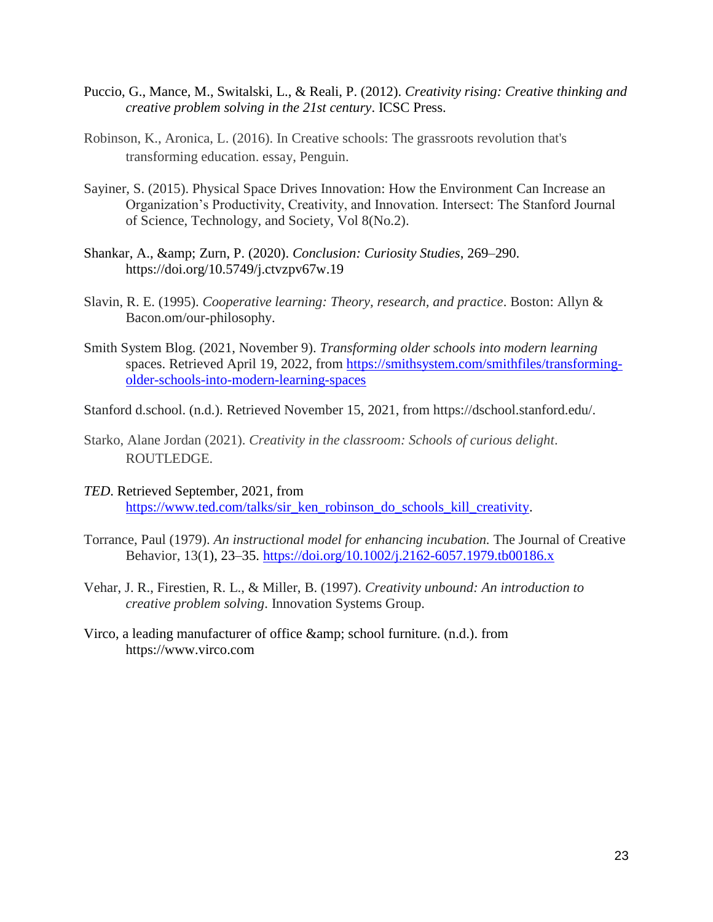- Puccio, G., Mance, M., Switalski, L., & Reali, P. (2012). *Creativity rising: Creative thinking and creative problem solving in the 21st century*. ICSC Press.
- Robinson, K., Aronica, L. (2016). In Creative schools: The grassroots revolution that's transforming education. essay, Penguin.
- Sayiner, S. (2015). Physical Space Drives Innovation: How the Environment Can Increase an Organization's Productivity, Creativity, and Innovation. Intersect: The Stanford Journal of Science, Technology, and Society, Vol 8(No.2).
- Shankar, A., & amp; Zurn, P. (2020). *Conclusion: Curiosity Studies*, 269–290. https://doi.org/10.5749/j.ctvzpv67w.19
- Slavin, R. E. (1995). *Cooperative learning: Theory, research, and practice*. Boston: Allyn & Bacon.om/our-philosophy.
- Smith System Blog. (2021, November 9). *Transforming older schools into modern learning*  spaces. Retrieved April 19, 2022, from [https://smithsystem.com/smithfiles/transforming](about:blank)[older-schools-into-modern-learning-spaces](about:blank)
- Stanford d.school. (n.d.). Retrieved November 15, 2021, from https://dschool.stanford.edu/.
- Starko, Alane Jordan (2021). *Creativity in the classroom: Schools of curious delight*. ROUTLEDGE.
- *TED*. Retrieved September, 2021, from https://www.ted.com/talks/sir\_ken\_robinson\_do\_schools\_kill\_creativity.
- Torrance, Paul (1979). *An instructional model for enhancing incubation.* The Journal of Creative Behavior, 13(1), 23–35. [https://doi.org/10.1002/j.2162-6057.1979.tb00186.x](about:blank)
- Vehar, J. R., Firestien, R. L., & Miller, B. (1997). *Creativity unbound: An introduction to creative problem solving*. Innovation Systems Group.
- Virco, a leading manufacturer of office & amp; school furniture. (n.d.). from https://www.virco.com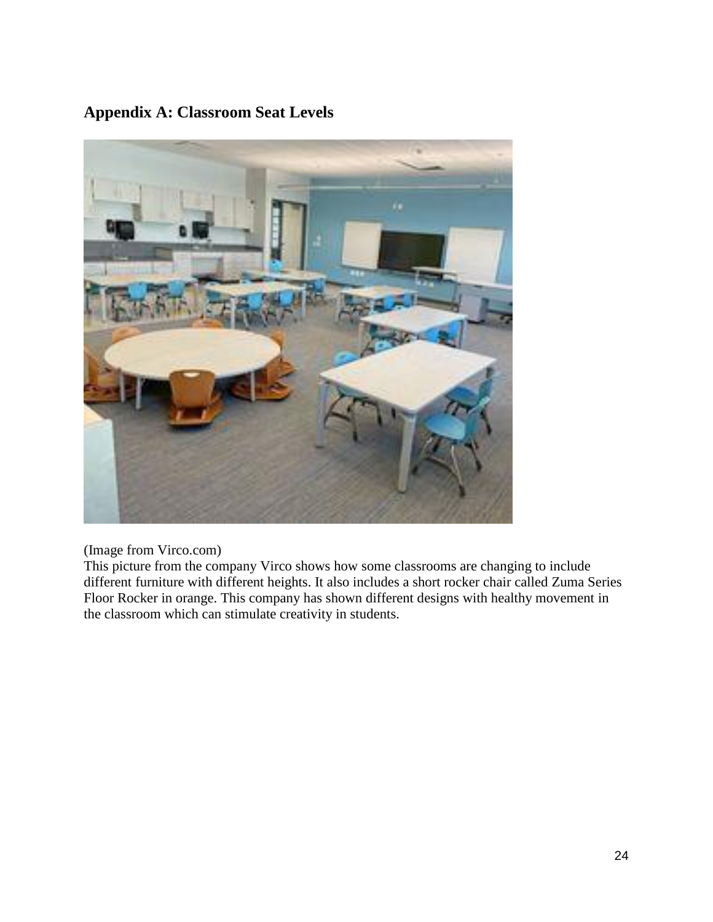# **Appendix A: Classroom Seat Levels**



(Image from Virco.com)

This picture from the company Virco shows how some classrooms are changing to include different furniture with different heights. It also includes a short rocker chair called Zuma Series Floor Rocker in orange. This company has shown different designs with healthy movement in the classroom which can stimulate creativity in students.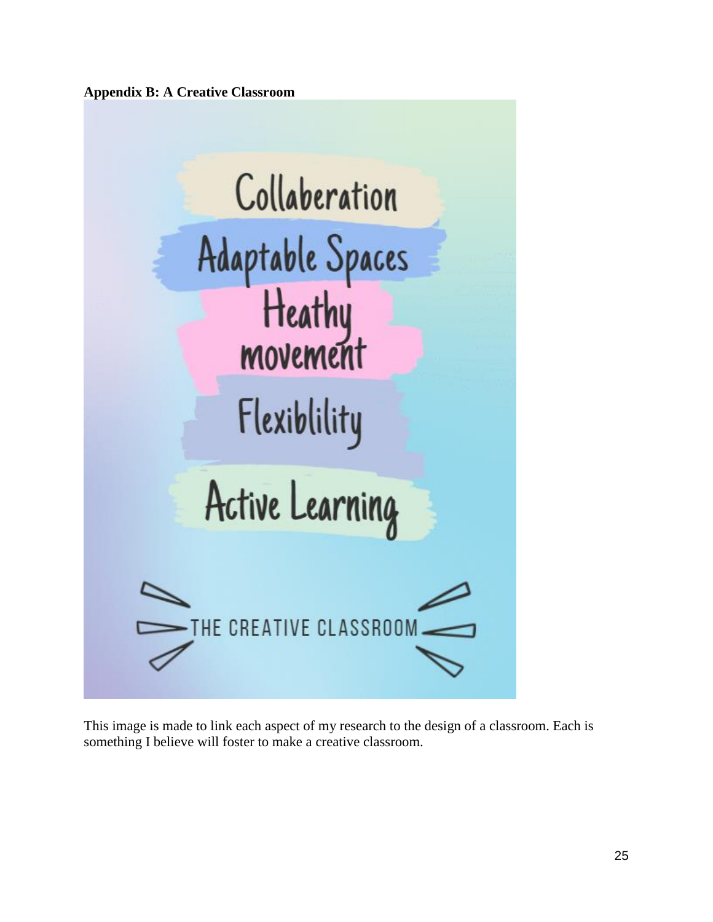**Appendix B: A Creative Classroom**



This image is made to link each aspect of my research to the design of a classroom. Each is something I believe will foster to make a creative classroom.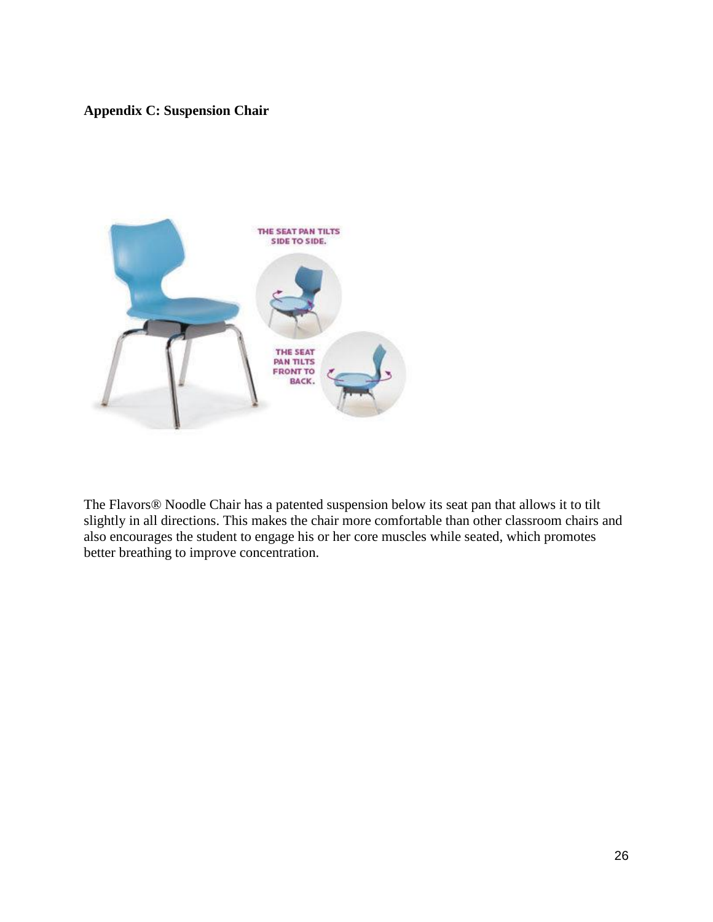# **Appendix C: Suspension Chair**



The Flavors® Noodle Chair has a patented suspension below its seat pan that allows it to tilt slightly in all directions. This makes the chair more comfortable than other classroom chairs and also encourages the student to engage his or her core muscles while seated, which promotes better breathing to improve concentration.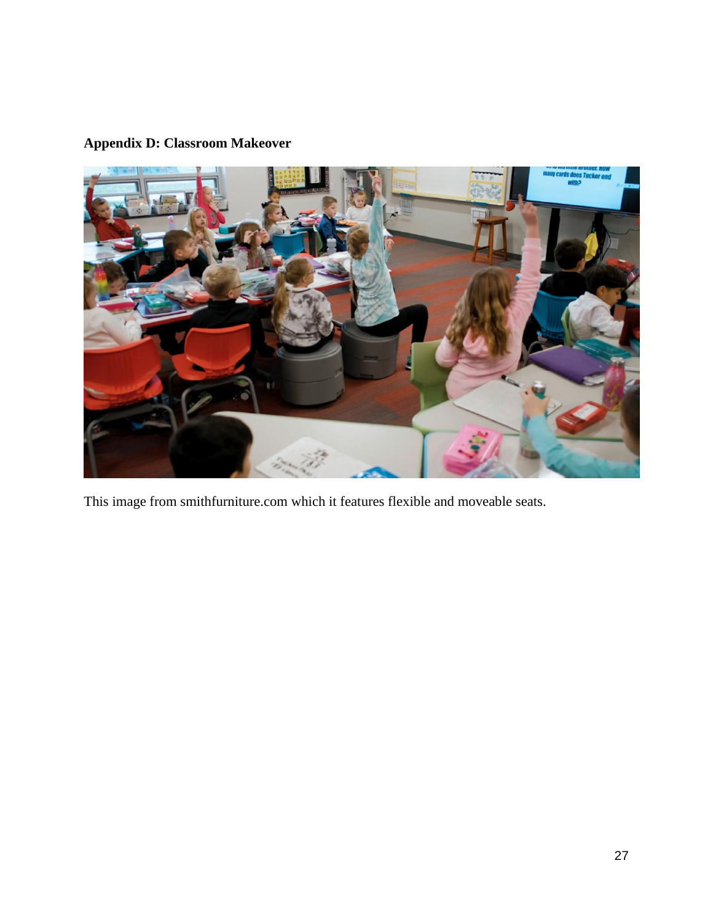# **Appendix D: Classroom Makeover**



This image from smithfurniture.com which it features flexible and moveable seats.